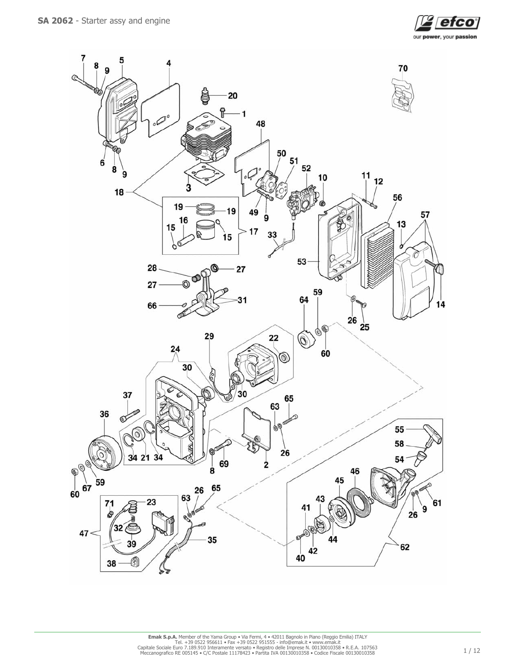

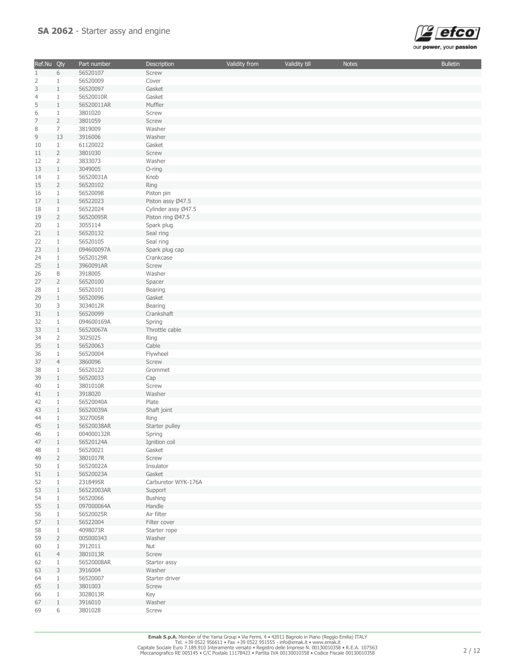

| Ref.Nu Qty     |                | Part number | Description         | Validity from | Validity till | <b>Notes</b> | <b>Bulletin</b> |
|----------------|----------------|-------------|---------------------|---------------|---------------|--------------|-----------------|
| $\mathbf{1}$   | 6              | 56520107    | Screw               |               |               |              |                 |
| 2              | $\mathbf{1}$   | 56520009    | Cover               |               |               |              |                 |
| 3              | $1\,$          | 56520097    | Gasket              |               |               |              |                 |
| $\overline{4}$ | $\mathbf{1}$   | 56520010R   | Gasket              |               |               |              |                 |
| 5              | $\mathbf{1}$   | 56520011AR  | Muffler             |               |               |              |                 |
|                |                |             |                     |               |               |              |                 |
| 6              | $\mathbf{1}$   | 3801020     | Screw               |               |               |              |                 |
| $\overline{7}$ | $\overline{2}$ | 3801059     | Screw               |               |               |              |                 |
| 8              | $\overline{7}$ | 3819009     | Washer              |               |               |              |                 |
| $\mathsf 9$    | 13             | 3916006     | Washer              |               |               |              |                 |
| 10             | $\mathbf{1}$   | 61120022    | Gasket              |               |               |              |                 |
| 11             | $\overline{2}$ | 3801030     | Screw               |               |               |              |                 |
| 12             | $\overline{2}$ | 3833073     | Washer              |               |               |              |                 |
| 13             | $\mathbf{1}$   | 3049005     | O-ring              |               |               |              |                 |
| 14             | $\mathbf{1}$   | 56520031A   | Knob                |               |               |              |                 |
| 15             | $\overline{2}$ | 56520102    | Ring                |               |               |              |                 |
| 16             | $\mathbf{1}$   | 56520098    | Piston pin          |               |               |              |                 |
|                |                |             |                     |               |               |              |                 |
| 17             | $\mathbf{1}$   | 56522023    | Piston assy Ø47.5   |               |               |              |                 |
| 18             | $\mathbf{1}$   | 56522024    | Cylinder assy Ø47.5 |               |               |              |                 |
| 19             | $\overline{2}$ | 56520095R   | Piston ring Ø47.5   |               |               |              |                 |
| 20             | $\mathbf{1}$   | 3055114     | Spark plug          |               |               |              |                 |
| 21             | $\mathbf{1}$   | 56520132    | Seal ring           |               |               |              |                 |
| 22             | $\mathbf{1}$   | 56520105    | Seal ring           |               |               |              |                 |
| 23             | $\mathbf{1}$   | 094600097A  | Spark plug cap      |               |               |              |                 |
| 24             | $\mathbf{1}$   | 56520129R   | Crankcase           |               |               |              |                 |
| 25             | $\mathbf{1}$   | 3960091AR   | Screw               |               |               |              |                 |
| 26             | 8              | 3918005     | Washer              |               |               |              |                 |
| 27             | $\overline{2}$ | 56520100    | Spacer              |               |               |              |                 |
|                |                |             |                     |               |               |              |                 |
| 28             | $\mathbf{1}$   | 56520101    | Bearing             |               |               |              |                 |
| 29             | $\mathbf{1}$   | 56520096    | Gasket              |               |               |              |                 |
| 30             | 3              | 3034012R    | Bearing             |               |               |              |                 |
| 31             | $\mathbf{1}$   | 56520099    | Crankshaft          |               |               |              |                 |
| 32             | $\mathbf{1}$   | 094600169A  | Spring              |               |               |              |                 |
| 33             | $\mathbf{1}$   | 56520067A   | Throttle cable      |               |               |              |                 |
| 34             | $\overline{2}$ | 3025025     | Ring                |               |               |              |                 |
| 35             | $\mathbf{1}$   | 56520063    | Cable               |               |               |              |                 |
| 36             | $\mathbf{1}$   | 56520004    | Flywheel            |               |               |              |                 |
| 37             | $\overline{4}$ | 3860096     | Screw               |               |               |              |                 |
|                | $\mathbf{1}$   | 56520122    | Grommet             |               |               |              |                 |
| 38             |                |             |                     |               |               |              |                 |
| 39             | $\mathbf{1}$   | 56520033    | Cap                 |               |               |              |                 |
| 40             | $\mathbf{1}$   | 3801010R    | Screw               |               |               |              |                 |
| 41             | $\mathbf{1}$   | 3918020     | Washer              |               |               |              |                 |
| 42             | 1              | 56520040A   | Plate               |               |               |              |                 |
| 43             | $\mathbf{1}$   | 56520039A   | Shaft joint         |               |               |              |                 |
| 44             | $\mathbf{1}$   | 3027005R    | Ring                |               |               |              |                 |
| 45             | $\mathbf{1}$   | 56520038AR  | Starter pulley      |               |               |              |                 |
| 46             | $\mathbf{1}$   | 004000132R  | Spring              |               |               |              |                 |
| 47             | 1              | 56520124A   | Ignition coil       |               |               |              |                 |
| 48             | 1              | 56520021    | Gasket              |               |               |              |                 |
| 49             | $\overline{2}$ | 3801017R    | Screw               |               |               |              |                 |
| 50             | 1              | 56520022A   | Insulator           |               |               |              |                 |
| 51             | $\mathbf{1}$   |             |                     |               |               |              |                 |
|                |                | 56520023A   | Gasket              |               |               |              |                 |
| 52             | $\mathbf{1}$   | 2318495R    | Carburetor WYK-176A |               |               |              |                 |
| 53             | $\mathbf{1}$   | 56522003AR  | Support             |               |               |              |                 |
| 54             | 1              | 56520066    | <b>Bushing</b>      |               |               |              |                 |
| 55             | $\mathbf{1}$   | 097000064A  | Handle              |               |               |              |                 |
| 56             | $\mathbf{1}$   | 56520025R   | Air filter          |               |               |              |                 |
| 57             | $\mathbf{1}$   | 56522004    | Filter cover        |               |               |              |                 |
| 58             | $\mathbf{1}$   | 4098073R    | Starter rope        |               |               |              |                 |
| 59             | $\overline{2}$ | 005000343   | Washer              |               |               |              |                 |
| 60             | $\mathbf{1}$   | 3912011     | Nut                 |               |               |              |                 |
| 61             | $\overline{4}$ | 3801013R    | Screw               |               |               |              |                 |
|                |                |             |                     |               |               |              |                 |
| 62             | 1              | 56520008AR  | Starter assy        |               |               |              |                 |
| 63             | 3              | 3916004     | Washer              |               |               |              |                 |
| 64             | $\mathbf{1}$   | 56520007    | Starter driver      |               |               |              |                 |
| 65             | $\mathbf{1}$   | 3801003     | Screw               |               |               |              |                 |
| 66             | $\mathbf{1}$   | 3028013R    | Key                 |               |               |              |                 |
| 67             | $\mathbf{1}$   | 3916010     | Washer              |               |               |              |                 |
| 69             | 6              | 3801028     | Screw               |               |               |              |                 |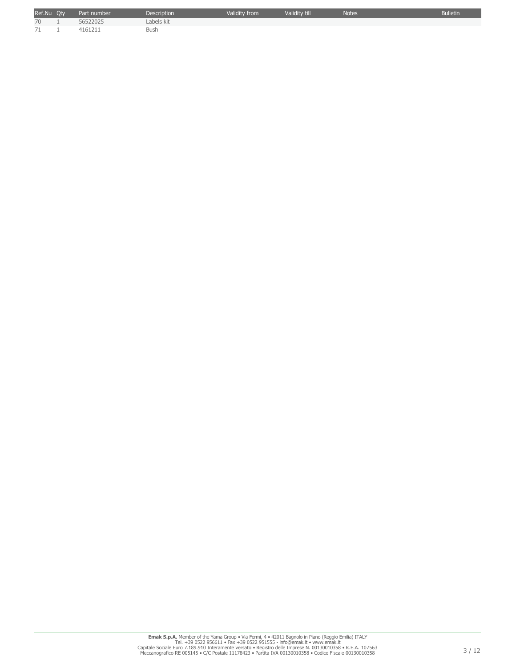| Ref.Nu Oty | Part number | <b>Description</b> | Validity from | Validity till | <b>Notes</b> | <b>Bulletin</b> |
|------------|-------------|--------------------|---------------|---------------|--------------|-----------------|
| 70         | 56522025    | Labels kit         |               |               |              |                 |
| 71         | 4161211     | <b>Bush</b>        |               |               |              |                 |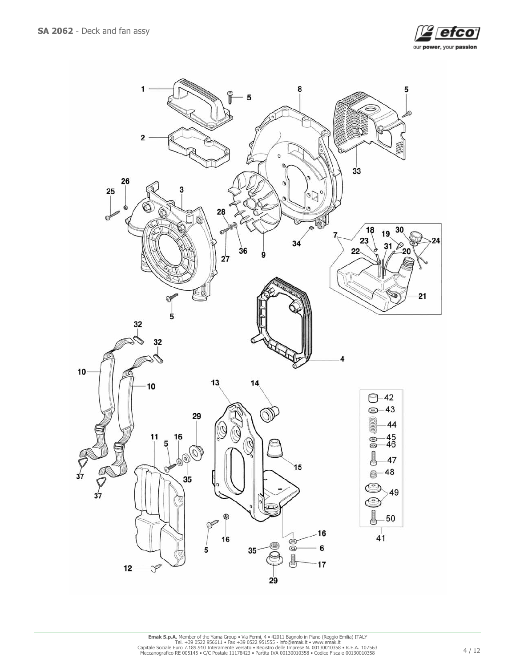

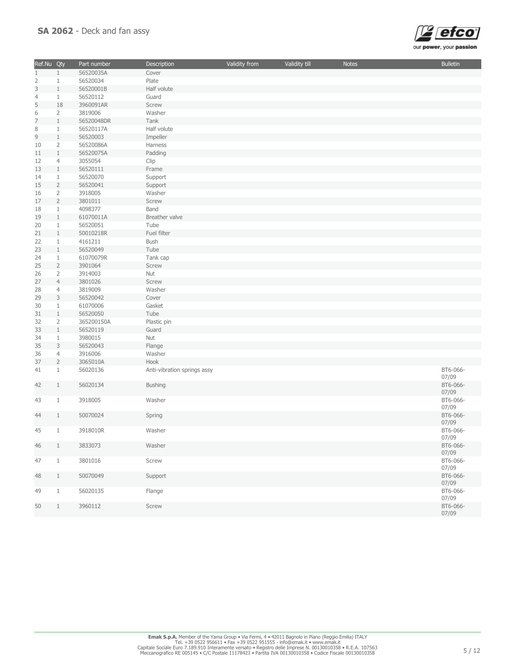

| Ref.Nu Qty     |                | Part number | Description                 | Validity from | Validity till | <b>Notes</b> | <b>Bulletin</b>   |
|----------------|----------------|-------------|-----------------------------|---------------|---------------|--------------|-------------------|
| $\mathbf{1}$   | $\mathbf{1}$   | 56520035A   | Cover                       |               |               |              |                   |
| 2              | $1\,$          | 56520034    | Plate                       |               |               |              |                   |
| 3              | $\mathbf{1}$   | 56520001B   | Half volute                 |               |               |              |                   |
| $\overline{4}$ | $\mathbf{1}$   | 56520112    | Guard                       |               |               |              |                   |
| 5              | 18             | 3960091AR   | Screw                       |               |               |              |                   |
| 6              | $\overline{2}$ | 3819006     | Washer                      |               |               |              |                   |
| $\overline{7}$ | $\mathbf{1}$   | 56520048DR  | Tank                        |               |               |              |                   |
| 8              | $1\,$          | 56520117A   | Half volute                 |               |               |              |                   |
| 9              | $\mathbf{1}$   | 56520003    | Impeller                    |               |               |              |                   |
| 10             | $\overline{2}$ | 56520086A   | Harness                     |               |               |              |                   |
| 11             | $\mathbf{1}$   | 56520075A   | Padding                     |               |               |              |                   |
| 12             | $\overline{4}$ | 3055054     | Clip                        |               |               |              |                   |
| 13             | $\mathbf{1}$   | 56520111    | Frame                       |               |               |              |                   |
| 14             | $\mathbf{1}$   | 56520070    | Support                     |               |               |              |                   |
| 15             | $\overline{2}$ | 56520041    | Support                     |               |               |              |                   |
| 16             | $\overline{2}$ | 3918005     | Washer                      |               |               |              |                   |
| 17             | $\overline{2}$ | 3801011     | Screw                       |               |               |              |                   |
| 18             | $\mathbf{1}$   | 4098377     | Band                        |               |               |              |                   |
| 19             | $\mathbf{1}$   | 61070011A   | Breather valve              |               |               |              |                   |
| 20             | $\mathbf{1}$   | 56520051    | Tube                        |               |               |              |                   |
| 21             | $\mathbf{1}$   | 50010218R   | Fuel filter                 |               |               |              |                   |
| 22             | $\mathbf{1}$   | 4161211     | Bush                        |               |               |              |                   |
| 23             | $\mathbf{1}$   | 56520049    | Tube                        |               |               |              |                   |
| 24             | $\mathbf{1}$   | 61070079R   | Tank cap                    |               |               |              |                   |
| 25             | $\overline{2}$ | 3901064     | Screw                       |               |               |              |                   |
| 26             | $\overline{2}$ | 3914003     | Nut                         |               |               |              |                   |
| 27             | $\overline{4}$ | 3801026     | Screw                       |               |               |              |                   |
| 28             | $\overline{4}$ | 3819009     | Washer                      |               |               |              |                   |
| 29             | 3              | 56520042    | Cover                       |               |               |              |                   |
| 30             | $\mathbf{1}$   | 61070006    | Gasket                      |               |               |              |                   |
| 31             | $\mathbf{1}$   | 56520050    | Tube                        |               |               |              |                   |
| 32             | $\overline{2}$ | 365200150A  | Plastic pin                 |               |               |              |                   |
| 33             | $\mathbf{1}$   | 56520119    | Guard                       |               |               |              |                   |
| 34             | $1\,$          | 3980015     | Nut                         |               |               |              |                   |
| 35             | 3              | 56520043    | Flange                      |               |               |              |                   |
| 36             | $\overline{4}$ | 3916006     | Washer                      |               |               |              |                   |
| 37             | $\overline{2}$ | 3065010A    | Hook                        |               |               |              |                   |
| 41             | $\mathbf{1}$   | 56020136    | Anti-vibration springs assy |               |               |              | BT6-066-<br>07/09 |
| 42             | 1              | 56020134    | <b>Bushing</b>              |               |               |              | BT6-066-<br>07/09 |
| 43             | $\mathbf{1}$   | 3918005     | Washer                      |               |               |              | BT6-066-<br>07/09 |
| 44             | 1              | 50070024    | Spring                      |               |               |              | BT6-066-<br>07/09 |
| 45             | $\mathbf{1}$   | 3918010R    | Washer                      |               |               |              | BT6-066-<br>07/09 |
| 46             | $\mathbf{1}$   | 3833073     | Washer                      |               |               |              | BT6-066-<br>07/09 |
| 47             | $\mathbf{1}$   | 3801016     | Screw                       |               |               |              | BT6-066-<br>07/09 |
| 48             | $\mathbf{1}$   | 50070049    | Support                     |               |               |              | BT6-066-<br>07/09 |
| 49             | $\mathbf{1}$   | 56020135    | Flange                      |               |               |              | BT6-066-<br>07/09 |
| 50             | $\mathbf{1}$   | 3960112     | Screw                       |               |               |              | BT6-066-<br>07/09 |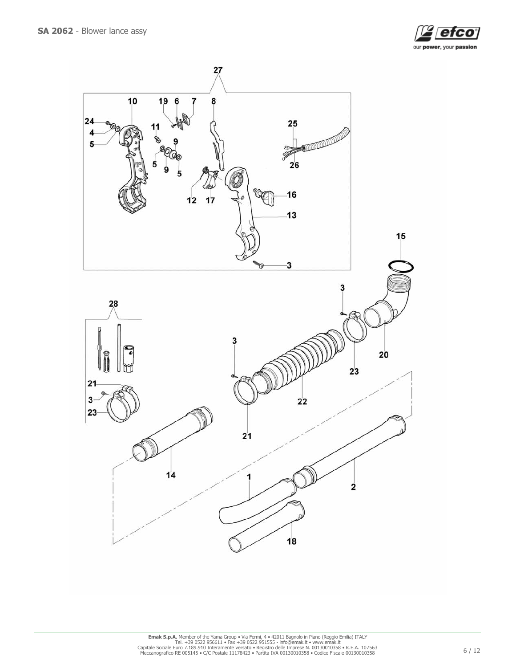

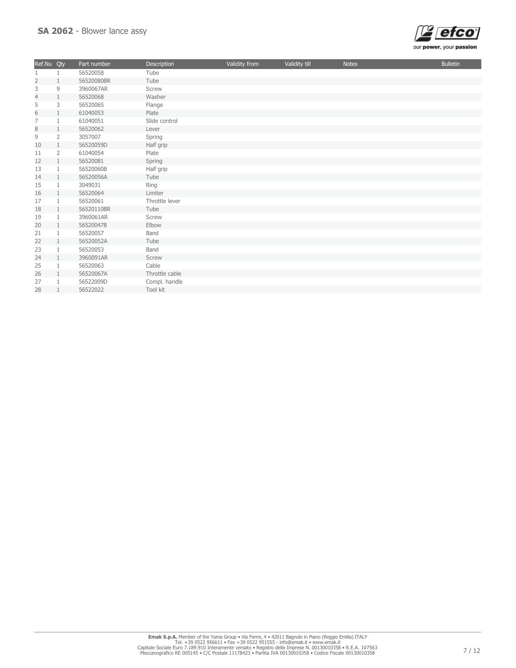

| Ref.Nu         | Qty            | Part number | <b>Description</b> | Validity from | Validity till | <b>Notes</b> | <b>Bulletin</b> |
|----------------|----------------|-------------|--------------------|---------------|---------------|--------------|-----------------|
| 1              |                | 56520058    | Tube               |               |               |              |                 |
| $\overline{2}$ | 1              | 56520080BR  | Tube               |               |               |              |                 |
| 3              | 9              | 3960067AR   | Screw              |               |               |              |                 |
| $\overline{4}$ | 1              | 56520068    | Washer             |               |               |              |                 |
| 5              | 3              | 56520065    | Flange             |               |               |              |                 |
| 6              | $\mathbf{1}$   | 61040053    | Plate              |               |               |              |                 |
| $\overline{7}$ | 1              | 61040051    | Slide control      |               |               |              |                 |
| 8              | $\mathbf{1}$   | 56520062    | Lever              |               |               |              |                 |
| 9              | $\overline{2}$ | 3057007     | Spring             |               |               |              |                 |
| 10             | $\mathbf{1}$   | 56520059D   | Half grip          |               |               |              |                 |
| 11             | $\overline{2}$ | 61040054    | Plate              |               |               |              |                 |
| 12             | $\mathbf{1}$   | 56520081    | Spring             |               |               |              |                 |
| 13             | 1              | 56520060B   | Half grip          |               |               |              |                 |
| 14             | $\mathbf{1}$   | 56520056A   | Tube               |               |               |              |                 |
| 15             | $\mathbf{1}$   | 3049031     | Ring               |               |               |              |                 |
| 16             | $\mathbf{1}$   | 56520064    | Limiter            |               |               |              |                 |
| 17             | 1              | 56520061    | Throttle lever     |               |               |              |                 |
| 18             | $\mathbf{1}$   | 56520110BR  | Tube               |               |               |              |                 |
| 19             | $\mathbf{1}$   | 3960061AR   | Screw              |               |               |              |                 |
| 20             | $\mathbf{1}$   | 56520047B   | Elbow              |               |               |              |                 |
| 21             | 1              | 56520057    | Band               |               |               |              |                 |
| 22             | $\mathbf{1}$   | 56520052A   | Tube               |               |               |              |                 |
| 23             | 1              | 56520053    | Band               |               |               |              |                 |
| 24             | $\mathbf{1}$   | 3960091AR   | Screw              |               |               |              |                 |
| 25             | 1              | 56520063    | Cable              |               |               |              |                 |
| 26             | $\mathbf{1}$   | 56520067A   | Throttle cable     |               |               |              |                 |
| 27             |                | 56522009D   | Compl. handle      |               |               |              |                 |
| 28             | $\mathbf{1}$   | 56522022    | Tool kit           |               |               |              |                 |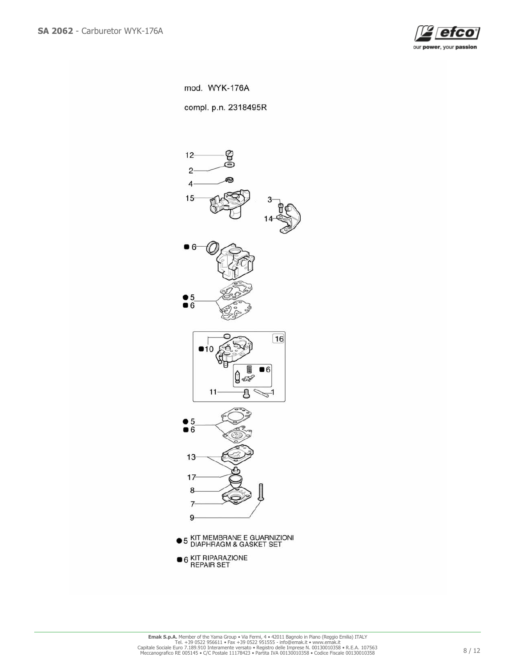

mod. WYK-176A

compl. p.n. 2318495R

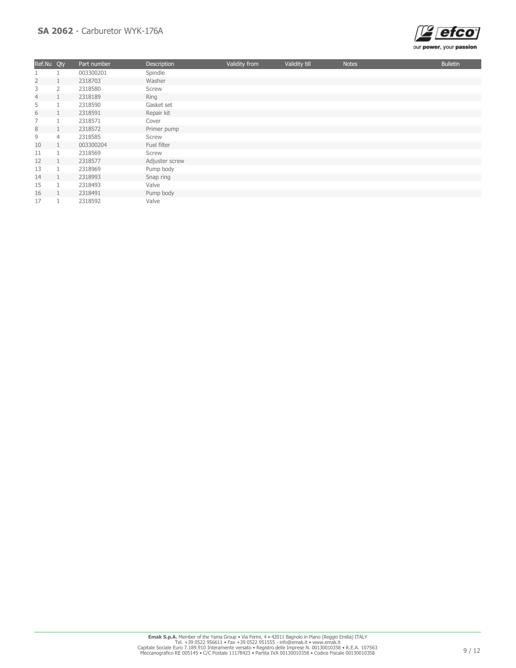## SA 2062 - Carburetor WYK-176A



| Ref.Nu Qty     |                | Part number | Description    | Validity from | Validity till | <b>Notes</b> | <b>Bulletin</b> |
|----------------|----------------|-------------|----------------|---------------|---------------|--------------|-----------------|
|                |                | 003300201   | Spindle        |               |               |              |                 |
| $\overline{2}$ |                | 2318703     | Washer         |               |               |              |                 |
| 3              | 2              | 2318580     | Screw          |               |               |              |                 |
| $\overline{4}$ |                | 2318189     | Ring           |               |               |              |                 |
| 5              |                | 2318590     | Gasket set     |               |               |              |                 |
| 6              |                | 2318591     | Repair kit     |               |               |              |                 |
| 7              |                | 2318571     | Cover          |               |               |              |                 |
| $\,8\,$        |                | 2318572     | Primer pump    |               |               |              |                 |
| 9              | $\overline{4}$ | 2318585     | Screw          |               |               |              |                 |
| 10             |                | 003300204   | Fuel filter    |               |               |              |                 |
| 11             |                | 2318569     | Screw          |               |               |              |                 |
| 12             |                | 2318577     | Adjuster screw |               |               |              |                 |
| 13             |                | 2318969     | Pump body      |               |               |              |                 |
| 14             |                | 2318993     | Snap ring      |               |               |              |                 |
| 15             |                | 2318493     | Valve          |               |               |              |                 |
| 16             |                | 2318491     | Pump body      |               |               |              |                 |
| 17             |                | 2318592     | Valve          |               |               |              |                 |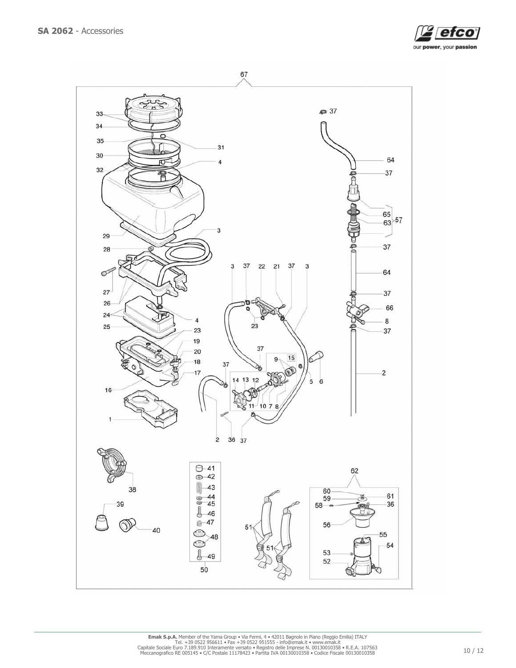